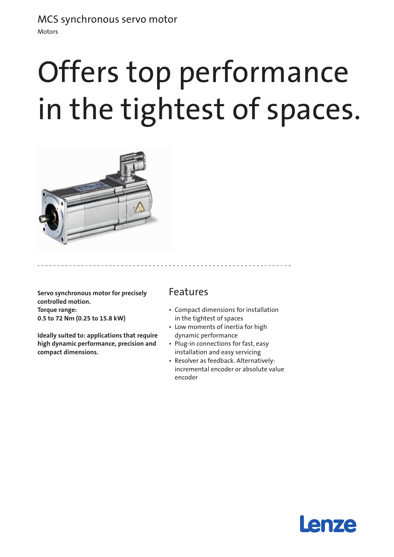## MCS synchronous servo motor

Motors

# Offers top performance in the tightest of spaces.



**Servo synchronous motor for precisely controlled motion. Torque range: 0.5 to 72 Nm (0.25 to 15.8 kW)** 

**Ideally suited to: applications that require high dynamic performance, precision and compact dimensions.**

### Features

- • Compact dimensions for installation in the tightest of spaces
- Low moments of inertia for high dynamic performance
- Plug-in connections for fast, easy installation and easy servicing
- • Resolver as feedback. Alternatively: incremental encoder or absolute value encoder